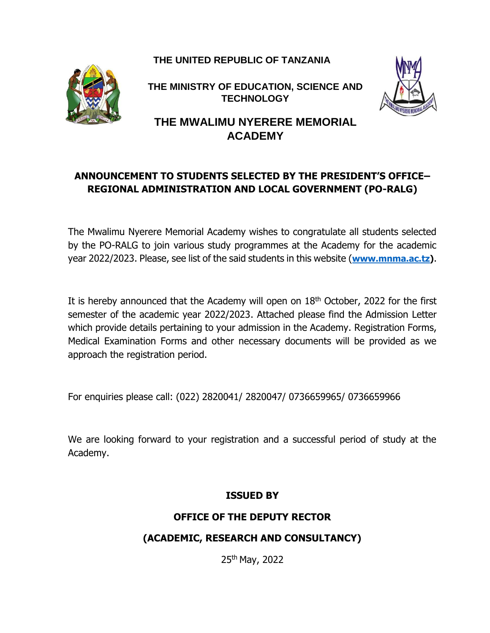**THE UNITED REPUBLIC OF TANZANIA**



**THE MINISTRY OF EDUCATION, SCIENCE AND TECHNOLOGY** 



**THE MWALIMU NYERERE MEMORIAL ACADEMY**

# **ANNOUNCEMENT TO STUDENTS SELECTED BY THE PRESIDENT'S OFFICE– REGIONAL ADMINISTRATION AND LOCAL GOVERNMENT (PO-RALG)**

The Mwalimu Nyerere Memorial Academy wishes to congratulate all students selected by the PO-RALG to join various study programmes at the Academy for the academic year 2022/2023. Please, see list of the said students in this website (**[www.mnma.ac.tz\)](http://www.mnma.ac.tz/)**.

It is hereby announced that the Academy will open on  $18<sup>th</sup>$  October, 2022 for the first semester of the academic year 2022/2023. Attached please find the Admission Letter which provide details pertaining to your admission in the Academy. Registration Forms, Medical Examination Forms and other necessary documents will be provided as we approach the registration period.

For enquiries please call: (022) 2820041/ 2820047/ 0736659965/ 0736659966

We are looking forward to your registration and a successful period of study at the Academy.

#### **ISSUED BY**

## **OFFICE OF THE DEPUTY RECTOR**

## **(ACADEMIC, RESEARCH AND CONSULTANCY)**

25th May, 2022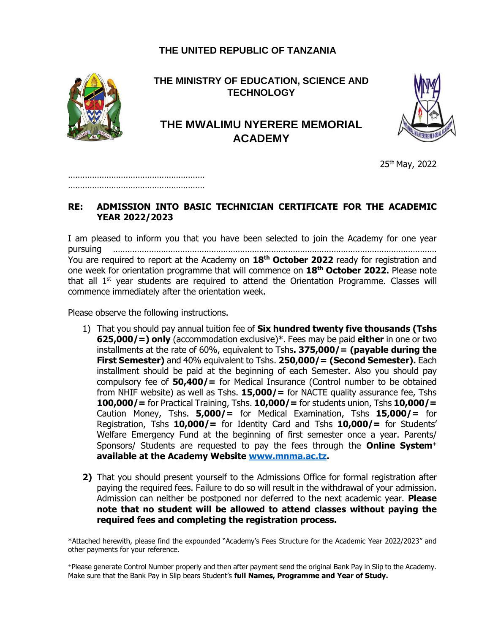#### **THE UNITED REPUBLIC OF TANZANIA**



**THE MINISTRY OF EDUCATION, SCIENCE AND TECHNOLOGY** 

# **THE MWALIMU NYERERE MEMORIAL ACADEMY**



25th May, 2022

………………………………………………… …………………………………………………

#### **RE: ADMISSION INTO BASIC TECHNICIAN CERTIFICATE FOR THE ACADEMIC YEAR 2022/2023**

I am pleased to inform you that you have been selected to join the Academy for one year pursuing ……………………………………………………………………………………………………………………… You are required to report at the Academy on **18th October 2022** ready for registration and one week for orientation programme that will commence on **18th October 2022.** Please note that all  $1<sup>st</sup>$  year students are required to attend the Orientation Programme. Classes will commence immediately after the orientation week.

Please observe the following instructions.

- 1) That you should pay annual tuition fee of **Six hundred twenty five thousands (Tshs 625,000/=) only** (accommodation exclusive)\*. Fees may be paid **either** in one or two installments at the rate of 60%, equivalent to Tshs**. 375,000/= (payable during the First Semester)** and 40% equivalent to Tshs. **250,000/= (Second Semester).** Each installment should be paid at the beginning of each Semester. Also you should pay compulsory fee of **50,400/=** for Medical Insurance (Control number to be obtained from NHIF website) as well as Tshs. **15,000/=** for NACTE quality assurance fee, Tshs **100,000/=** for Practical Training, Tshs. **10,000/=** for students union, Tshs **10,000/=** Caution Money, Tshs. **5,000/=** for Medical Examination, Tshs **15,000/=** for Registration, Tshs **10,000/=** for Identity Card and Tshs **10,000/=** for Students' Welfare Emergency Fund at the beginning of first semester once a year. Parents/ Sponsors/ Students are requested to pay the fees through the **Online System<sup>+</sup> available at the Academy Website [www.mnma.ac.tz.](http://www.mnma.ac.tz/)**
- **2)** That you should present yourself to the Admissions Office for formal registration after paying the required fees. Failure to do so will result in the withdrawal of your admission. Admission can neither be postponed nor deferred to the next academic year. **Please note that no student will be allowed to attend classes without paying the required fees and completing the registration process.**

\*Attached herewith, please find the expounded "Academy's Fees Structure for the Academic Year 2022/2023" and other payments for your reference.

<sup>+</sup>Please generate Control Number properly and then after payment send the original Bank Pay in Slip to the Academy. Make sure that the Bank Pay in Slip bears Student's **full Names, Programme and Year of Study.**